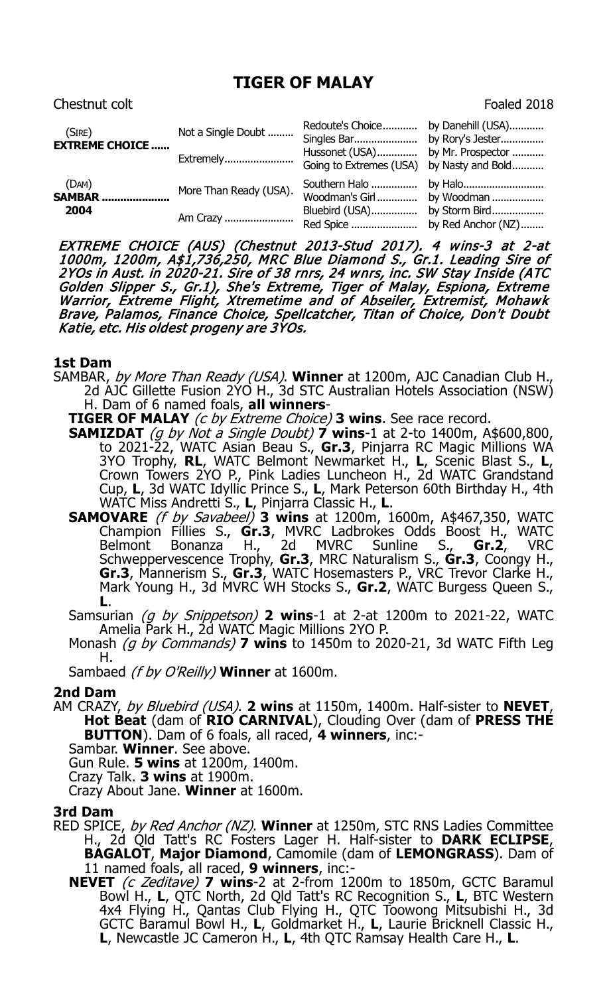# **TIGER OF MALAY**

# Chestnut colt **Foaled 2018**

| (Sire)<br><b>EXTREME CHOICE </b> | Not a Single Doubt<br>Extremely    | Redoute's Choice<br>Singles Bar<br>Hussonet (USA)<br>Going to Extremes (USA) by Nasty and Bold | by Danehill (USA)<br>by Rory's Jester<br>by Mr. Prospector |
|----------------------------------|------------------------------------|------------------------------------------------------------------------------------------------|------------------------------------------------------------|
| (DAM)<br><b>SAMBAR</b><br>2004   | More Than Ready (USA).<br>Am Crazy | Woodman's Girl<br>Bluebird (USA)<br>Red Spice                                                  | by Woodman<br>by Storm Bird<br>by Red Anchor (NZ)          |

EXTREME CHOICE (AUS) (Chestnut 2013-Stud 2017). 4 wins-3 at 2-at<br>1000m, 1200m, A\$1,736,250, MRC Blue Diamond S., Gr.1. Leading Sire of<br>2YOs in Aust. in 2020-21. Sire of 38 rnrs, 24 wnrs, inc. SW Stay Inside (ATC Golden Slipper S., Gr.1), She's Extreme, Tiger of Malay, Espiona, Extreme Warrior, Extreme Flight, Xtremetime and of Abseiler, Extremist, Mohawk Brave, Palamos, Finance Choice, Spellcatcher, Titan of Choice, Don't Doubt Katie, etc. His oldest progeny are 3YOs.

### **1st Dam**

- SAMBAR, by More Than Ready (USA). **Winner** at 1200m, AJC Canadian Club H., 2d AJC Gillette Fusion 2YO H., 3d STC Australian Hotels Association (NSW) H. Dam of 6 named foals, **all winners**-
	- **TIGER OF MALAY** (c by Extreme Choice) **3 wins**. See race record.
	- **SAMIZDAT** (g by Not a Single Doubt) **7** wins-1 at 2-to 1400m, A\$600,800, to 2021-22, WATC Asian Beau S., **Gr.3**, Pinjarra RC Magic Millions WA 3YO Trophy, **RL**, WATC Belmont Newmarket H., **L**, Scenic Blast S., **L**, Crown Towers 2YO P., Pink Ladies Luncheon H., 2d WATC Grandstand Cup, **L**, 3d WATC Idyllic Prince S., **L**, Mark Peterson 60th Birthday H., 4th
	- WATC Miss Andretti S., **L**, Pinjarra Classic H., **L**. **SAMOVARE** (f by Savabeel) **3 wins** at 1200m, 1600m, A\$467,350, WATC Champion Fillies S., **Gr.3**, MVRC Ladbrokes Odds Boost H., WATC Belmont Bonanza H., 2d MVRC Sunline S., **Gr.2**, VRC Schweppervescence Trophy, **Gr.3**, MRC Naturalism S., **Gr.3**, Coongy H., **Gr.3**, Mannerism S., **Gr.3**, WATC Hosemasters P., VRC Trevor Clarke H., Mark Young H., 3d MVRC WH Stocks S., **Gr.2**, WATC Burgess Queen S., **L**.
	- Samsurian (g by Snippetson) **2 wins**-1 at 2-at 1200m to 2021-22, WATC Amelia Park H., 2d WATC Magic Millions 2YO P.
	- Monash (g by Commands) **7 wins** to 1450m to 2020-21, 3d WATC Fifth Leg H.
	- Sambaed (f by O'Reilly) **Winner** at 1600m.

# **2nd Dam**

- AM CRAZY, by Bluebird (USA). **2 wins** at 1150m, 1400m. Half-sister to **NEVET**, **Hot Beat** (dam of **RIO CARNIVAL**), Clouding Over (dam of **PRESS THE BUTTON**). Dam of 6 foals, all raced, **4 winners**, inc:-
	- Sambar. **Winner**. See above.
	- Gun Rule. **5 wins** at 1200m, 1400m.
	- Crazy Talk. **3 wins** at 1900m.
	- Crazy About Jane. **Winner** at 1600m.

#### **3rd Dam**

- RED SPICE, by Red Anchor (NZ). **Winner** at 1250m, STC RNS Ladies Committee H., 2d Qld Tatt's RC Fosters Lager H. Half-sister to **DARK ECLIPSE**, **BAGALOT**, **Major Diamond**, Camomile (dam of **LEMONGRASS**). Dam of 11 named foals, all raced, **9 winners**, inc:-
	- **NEVET** (c Zeditave) **7 wins**-2 at 2-from 1200m to 1850m, GCTC Baramul Bowl H., **L**, QTC North, 2d Qld Tatt's RC Recognition S., **L**, BTC Western 4x4 Flying H., Qantas Club Flying H., QTC Toowong Mitsubishi H., 3d GCTC Baramul Bowl H., **L**, Goldmarket H., **L**, Laurie Bricknell Classic H., **L**, Newcastle JC Cameron H., **L**, 4th QTC Ramsay Health Care H., **L**.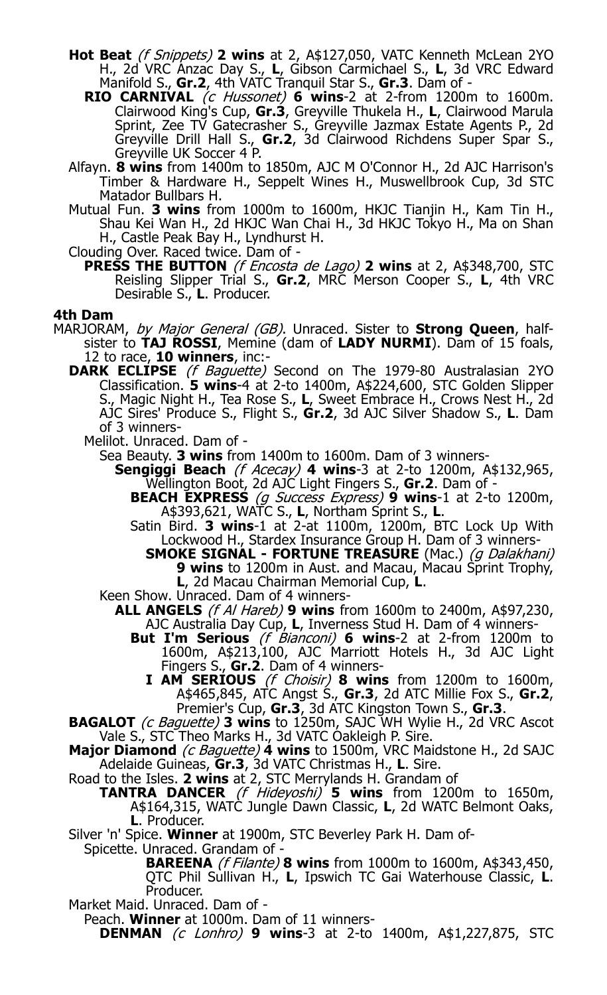- **Hot Beat** (f Snippets) **2 wins** at 2, A\$127,050, VATC Kenneth McLean 2YO H., 2d VRC Anzac Day S., **L**, Gibson Carmichael S., **L**, 3d VRC Edward Manifold S., **Gr.2**, 4th VATC Tranquil Star S., **Gr.3**. Dam of -
	- **RIO CARNIVAL** (c Hussonet) **6 wins**-2 at 2-from 1200m to 1600m. Clairwood King's Cup, **Gr.3**, Greyville Thukela H., **L**, Clairwood Marula Sprint, Zee TV Gatecrasher S., Greyville Jazmax Estate Agents P., 2d Greyville Drill Hall S., **Gr.2**, 3d Clairwood Richdens Super Spar S., Greyville UK Soccer 4 P.
- Alfayn. **8 wins** from 1400m to 1850m, AJC M O'Connor H., 2d AJC Harrison's Timber & Hardware H., Seppelt Wines H., Muswellbrook Cup, 3d STC Matador Bullbars H.
- Mutual Fun. **3 wins** from 1000m to 1600m, HKJC Tianjin H., Kam Tin H., Shau Kei Wan H., 2d HKJC Wan Chai H., 3d HKJC Tokyo H., Ma on Shan H., Castle Peak Bay H., Lyndhurst H.
- Clouding Over. Raced twice. Dam of
	- **PRESS THE BUTTON** (f Encosta de Lago) **2 wins** at 2, A\$348,700, STC Reisling Slipper Trial S., **Gr.2**, MRC Merson Cooper S., **L**, 4th VRC Desirable S., **L**. Producer.

### **4th Dam**

- MARJORAM, by Major General (GB). Unraced. Sister to **Strong Queen**, halfsister to **TAJ ROSSI**, Memine (dam of **LADY NURMI**). Dam of 15 foals, 12 to race, **10 winners**, inc:-
	- **DARK ECLIPSE** (f Baguette) Second on The 1979-80 Australasian 2YO Classification. **5 wins**-4 at 2-to 1400m, A\$224,600, STC Golden Slipper S., Magic Night H., Tea Rose S., **L**, Sweet Embrace H., Crows Nest H., 2d AJC Sires' Produce S., Flight S., **Gr.2**, 3d AJC Silver Shadow S., **L**. Dam of 3 winners-
		- Melilot. Unraced. Dam of -

Sea Beauty. **3 wins** from 1400m to 1600m. Dam of 3 winners-

- **Sengiggi Beach** (f Acecay) **4 wins**-3 at 2-to 1200m, A\$132,965,
	- Wellington Boot, 2d AJC Light Fingers S., **Gr.2**. Dam of **BEACH EXPRESS** (g Success Express) **9 wins**-1 at 2-to 1200m, A\$393,621, WATC S., **L**, Northam Sprint S., **L**.
	- Satin Bird. **3 wins**-1 at 2-at 1100m, 1200m, BTC Lock Up With Lockwood H., Stardex Insurance Group H. Dam of 3 winners-
		- **SMOKE SIGNAL - FORTUNE TREASURE** (Mac.) (g Dalakhani) **9 wins** to 1200m in Aust. and Macau, Macau Sprint Trophy, **L**, 2d Macau Chairman Memorial Cup, **L**.
- Keen Show. Unraced. Dam of 4 winners-
	- **ALL ANGELS** (f Al Hareb) **9 wins** from 1600m to 2400m, A\$97,230, AJC Australia Day Cup, **L**, Inverness Stud H. Dam of 4 winners-
		- **But I'm Serious** (*f Bianconi*) **6 wins**-2 at 2-from 1200m to 1600m, A\$213,100, AJC Marriott Hotels H., 3d AJC Light Fingers S., **Gr.2**. Dam of 4 winners-
			- **I AM SERIOUS** (f Choisir) **8 wins** from 1200m to 1600m, A\$465,845, ATC Angst S., **Gr.3**, 2d ATC Millie Fox S., **Gr.2**, Premier's Cup, **Gr.3**, 3d ATC Kingston Town S., **Gr.3**.
- **BAGALOT** (c Baguette) **3 wins** to 1250m, SAJC WH Wylie H., 2d VRC Ascot
- Vale S., STC Theo Marks H., 3d VATC Oakleigh P. Sire. **Major Diamond** (c Baguette) **4 wins** to 1500m, VRC Maidstone H., 2d SAJC Adelaide Guineas, **Gr.3**, 3d VATC Christmas H., **L**. Sire.
- Road to the Isles. **2 wins** at 2, STC Merrylands H. Grandam of
	- **TANTRA DANCER** (f Hideyoshi) **5 wins** from 1200m to 1650m, A\$164,315, WATC Jungle Dawn Classic, **L**, 2d WATC Belmont Oaks, **L**. Producer.
- Silver 'n' Spice. **Winner** at 1900m, STC Beverley Park H. Dam of-
	- Spicette. Unraced. Grandam of
		- **BAREENA** (f Filante) **8 wins** from 1000m to 1600m, A\$343,450, QTC Phil Sullivan H., **L**, Ipswich TC Gai Waterhouse Classic, **L**. Producer.
- Market Maid. Unraced. Dam of -

Peach. **Winner** at 1000m. Dam of 11 winners-

**DENMAN** (c Lonhro) **9 wins**-3 at 2-to 1400m, A\$1,227,875, STC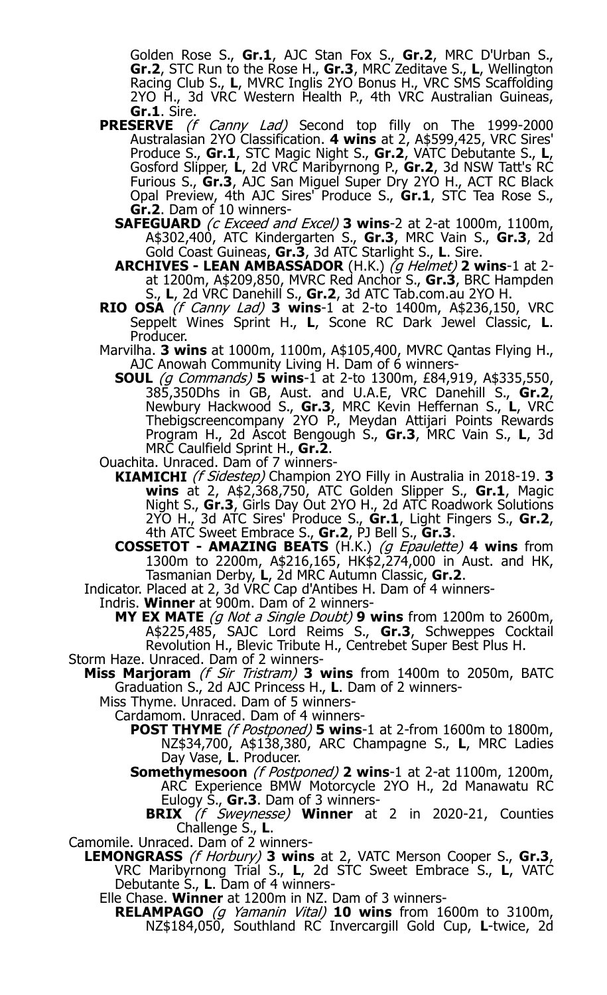Golden Rose S., **Gr.1**, AJC Stan Fox S., **Gr.2**, MRC D'Urban S., **Gr.2**, STC Run to the Rose H., **Gr.3**, MRC Zeditave S., **L**, Wellington Racing Club S., **L**, MVRC Inglis 2YO Bonus H., VRC SMS Scaffolding 2YO H., 3d VRC Western Health P., 4th VRC Australian Guineas,<br>Gr.1. Sire.

- **Gr.1**. Sire.<br>**PRESERVE** *(f Canny Lad)* Second top filly on The 1999-2000 Australasian 2YO Classification. **4 wins** at 2, A\$599,425, VRC Sires' Produce S., **Gr.1**, STC Magic Night S., **Gr.2**, VATC Debutante S., **L**, Gosford Slipper, **L**, 2d VRC Maribyrnong P., **Gr.2**, 3d NSW Tatt's RC Furious S., **Gr.3**, AJC San Miguel Super Dry 2YO H., ACT RC Black Opal Preview, 4th AJC Sires' Produce S., **Gr.1**, STC Tea Rose S., **Gr.2**. Dam of 10 winners-
	- **SAFEGUARD** (c Exceed and Excel) **3 wins**-2 at 2-at 1000m, 1100m, A\$302,400, ATC Kindergarten S., **Gr.3**, MRC Vain S., **Gr.3**, 2d Gold Coast Guineas, **Gr.3**, 3d ATC Starlight S., **L**. Sire.

**ARCHIVES - LEAN AMBASSADOR** (H.K.) (g Helmet) **2 wins**-1 at 2 at 1200m, A\$209,850, MVRC Red Anchor S., **Gr.3**, BRC Hampden S., **L**, 2d VRC Danehill S., **Gr.2**, 3d ATC Tab.com.au 2YO H.

- **RIO OSA** (f Canny Lad) **3 wins**-1 at 2-to 1400m, A\$236,150, VRC Seppelt Wines Sprint H., **L**, Scone RC Dark Jewel Classic, **L**. Producer.
- Marvilha. **3 wins** at 1000m, 1100m, A\$105,400, MVRC Qantas Flying H.,
- AJC Anowah Community Living H. Dam of 6 winners-**SOUL** (g Commands) **5 wins**-1 at 2-to 1300m, £84,919, A\$335,550, 385,350Dhs in GB, Aust. and U.A.E, VRC Danehill S., **Gr.2**, Newbury Hackwood S., **Gr.3**, MRC Kevin Heffernan S., **L**, VRC Thebigscreencompany 2YO P., Meydan Attijari Points Rewards Program H., 2d Ascot Bengough S., **Gr.3**, MRC Vain S., **L**, 3d MRC Caulfield Sprint H., **Gr.2**.
- Ouachita. Unraced. Dam of 7 winners-
	- **KIAMICHI** (f Sidestep) Champion 2YO Filly in Australia in 2018-19. **3 wins** at 2, A\$2,368,750, ATC Golden Slipper S., **Gr.1**, Magic Night S., **Gr.3**, Girls Day Out 2YO H., 2d ATC Roadwork Solutions 2YO H., 3d ATC Sires' Produce S., **Gr.1**, Light Fingers S., **Gr.2**, 4th ATC Sweet Embrace S., **Gr.2**, PJ Bell S., **Gr.3**.
	- **COSSETOT - AMAZING BEATS** (H.K.) (g Epaulette) **4 wins** from 1300m to 2200m, A\$216,165, HK\$2,274,000 in Aust. and HK,
- Tasmanian Derby, **L**, 2d MRC Autumn Classic, **Gr.2**. Indicator. Placed at 2, 3d VRC Cap d'Antibes H. Dam of 4 winners-

Indris. **Winner** at 900m. Dam of 2 winners-

**MY EX MATE** (g Not a Single Doubt) **9 wins** from 1200m to 2600m, A\$225,485, SAJC Lord Reims S., **Gr.3**, Schweppes Cocktail Revolution H., Blevic Tribute H., Centrebet Super Best Plus H. Storm Haze. Unraced. Dam of 2 winners-

- **Miss Marjoram** (f Sir Tristram) **3 wins** from 1400m to 2050m, BATC Graduation S., 2d AJC Princess H., **L**. Dam of 2 winners-
	- Miss Thyme. Unraced. Dam of 5 winners-
		- Cardamom. Unraced. Dam of 4 winners-
			- **POST THYME** (f Postponed) **5 wins**-1 at 2-from 1600m to 1800m, NZ\$34,700, A\$138,380, ARC Champagne S., **L**, MRC Ladies Day Vase, **L**. Producer.
			- **Somethymesoon** (f Postponed) **2 wins**-1 at 2-at 1100m, 1200m, ARC Experience BMW Motorcycle 2YO H., 2d Manawatu RC Eulogy S., Gr.3. Dam of 3 winners-

**BRIX** (f Sweynesse) **Winner** at 2 in 2020-21, Counties Challenge S., **L**.

Camomile. Unraced. Dam of 2 winners-

**LEMONGRASS** (f Horbury) **3 wins** at 2, VATC Merson Cooper S., **Gr.3**, VRC Maribyrnong Trial S., **L**, 2d STC Sweet Embrace S., **L**, VATC Debutante S., **L**. Dam of 4 winners-

Elle Chase. **Winner** at 1200m in NZ. Dam of 3 winners-

**RELAMPAGO** (g Yamanin Vital) **10 wins** from 1600m to 3100m, NZ\$184,050, Southland RC Invercargill Gold Cup, **L**-twice, 2d